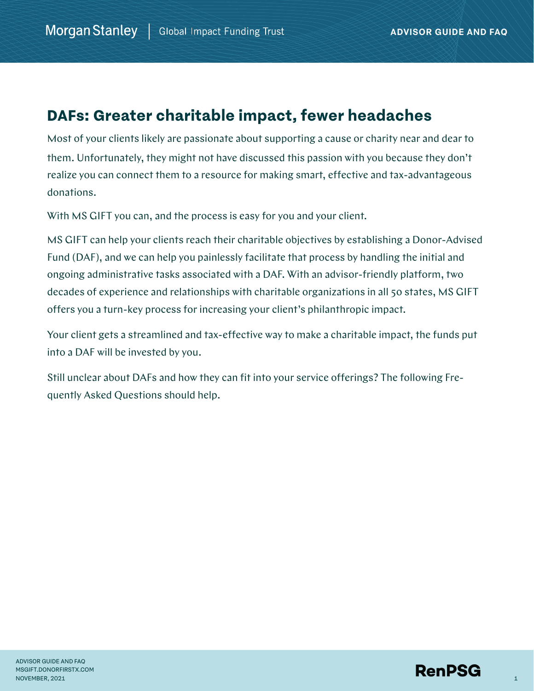# **DAFs: Greater charitable impact, fewer headaches**

Most of your clients likely are passionate about supporting a cause or charity near and dear to them. Unfortunately, they might not have discussed this passion with you because they don't realize you can connect them to a resource for making smart, effective and tax-advantageous donations.

With MS GIFT you can, and the process is easy for you and your client.

MS GIFT can help your clients reach their charitable objectives by establishing a Donor-Advised Fund (DAF), and we can help you painlessly facilitate that process by handling the initial and ongoing administrative tasks associated with a DAF. With an advisor-friendly platform, two decades of experience and relationships with charitable organizations in all 50 states, MS GIFT offers you a turn-key process for increasing your client's philanthropic impact.

Your client gets a streamlined and tax-effective way to make a charitable impact, the funds put into a DAF will be invested by you.

Still unclear about DAFs and how they can fit into your service offerings? The following Frequently Asked Questions should help.

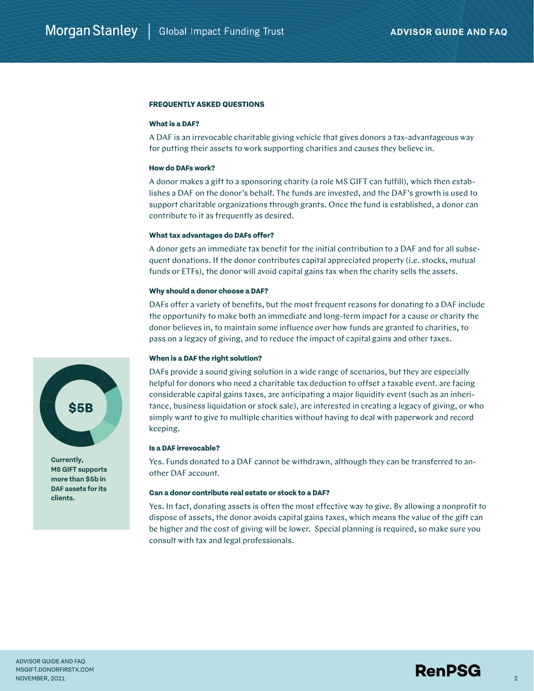# **FREQUENTLY ASKED QUESTIONS**

#### **What is a DAF?**

A DAF is an irrevocable charitable giving vehicle that gives donors a tax-advantageous way for putting their assets to work supporting charities and causes they believe in.

## **How do DAFs work?**

A donor makes a gift to a sponsoring charity (a role MS GIFT can fulfill), which then establishes a DAF on the donor's behalf. The funds are invested, and the DAF's growth is used to support charitable organizations through grants. Once the fund is established, a donor can contribute to it as frequently as desired.

# **What tax advantages do DAFs offer?**

A donor gets an immediate tax benefit for the initial contribution to a DAF and for all subsequent donations. If the donor contributes capital appreciated property (i.e. stocks, mutual funds or ETFs), the donor will avoid capital gains tax when the charity sells the assets.

#### **Why should a donor choose a DAF?**

DAFs offer a variety of benefits, but the most frequent reasons for donating to a DAF include the opportunity to make both an immediate and long-term impact for a cause or charity the donor believes in, to maintain some influence over how funds are granted to charities, to pass on a legacy of giving, and to reduce the impact of capital gains and other taxes.

#### **When is a DAF the right solution?**

DAFs provide a sound giving solution in a wide range of scenarios, but they are especially helpful for donors who need a charitable tax deduction to offset a taxable event. are facing considerable capital gains taxes, are anticipating a major liquidity event (such as an inheritance, business liquidation or stock sale), are interested in creating a legacy of giving, or who simply want to give to multiple charities without having to deal with paperwork and record keeping.

## **Is a DAF irrevocable?**

Yes. Funds donated to a DAF cannot be withdrawn, although they can be transferred to another DAF account.

#### **Can a donor contribute real estate or stock to a DAF?**

Yes. In fact, donating assets is often the most effective way to give. By allowing a nonprofit to dispose of assets, the donor avoids capital gains taxes, which means the value of the gift can be higher and the cost of giving will be lower. Special planning is required, so make sure you consult with tax and legal professionals.



**Currently, MS GIFT supports more than \$5b in DAF assets for its clients.**